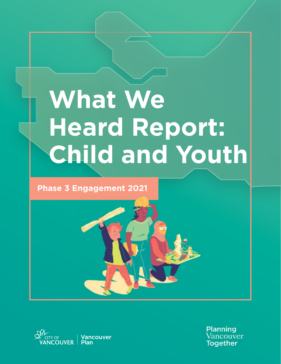# **What We Heard Report: Child and Youth**

# **Phase 3 Engagement 2021**



Planning Vancouver **Together**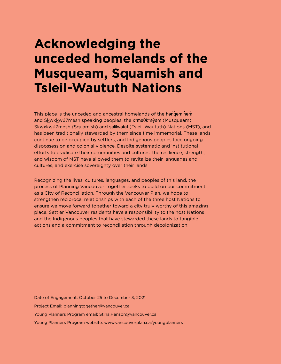# **Acknowledging the unceded homelands of the Musqueam, Squamish and Tsleil-Waututh Nations**

This place is the unceded and ancestral homelands of the hangeminam and Skwxkwú7mesh speaking peoples, the x<sup>w</sup>maθk<sup>w</sup>ayam (Musqueam), Skwxkwú7mesh (Squamish) and səlilwətaɬ (Tsleil-Waututh) Nations (MST), and has been traditionally stewarded by them since time immemorial. These lands continue to be occupied by settlers, and Indigenous peoples face ongoing dispossession and colonial violence. Despite systematic and institutional efforts to eradicate their communities and cultures, the resilience, strength, and wisdom of MST have allowed them to revitalize their languages and cultures, and exercise sovereignty over their lands.

Recognizing the lives, cultures, languages, and peoples of this land, the process of Planning Vancouver Together seeks to build on our commitment as a City of Reconciliation. Through the Vancouver Plan, we hope to strengthen reciprocal relationships with each of the three host Nations to ensure we move forward together toward a city truly worthy of this amazing place. Settler Vancouver residents have a responsibility to the host Nations and the Indigenous peoples that have stewarded these lands to tangible actions and a commitment to reconciliation through decolonization.

Date of Engagement: October 25 to December 3, 2021 Project Email: [planningtogether@vancouver.ca](mailto:planningtogether%40vancouver.ca?subject=) Young Planners Program email: [Stina.Hanson@vancouver.ca](mailto:Stina.Hanson%40vancouver.ca?subject=) Young Planners Program website: [www.vancouverplan.ca/youngplanners](http://www.vancouverplan.ca/youngplanners)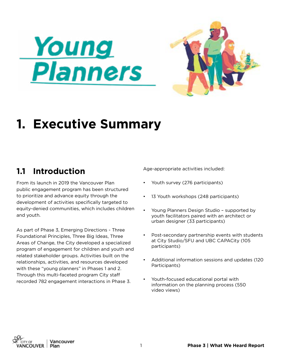



# **1. Executive Summary**

# **1.1 Introduction**

From its launch in 2019 the Vancouver Plan public engagement program has been structured to prioritize and advance equity through the development of activities specifically targeted to equity-denied communities, which includes children and youth.

As part of Phase 3, Emerging Directions - Three Foundational Principles, Three Big Ideas, Three Areas of Change, the City developed a specialized program of engagement for children and youth and related stakeholder groups. Activities built on the relationships, activities, and resources developed with these "young planners" in Phases 1 and 2. Through this multi-faceted program City staff recorded 782 engagement interactions in Phase 3.

Age-appropriate activities included:

- Youth survey (276 participants)
- 13 Youth workshops (248 participants)
- Young Planners Design Studio supported by youth facilitators paired with an architect or urban designer (33 participants)
- Post-secondary partnership events with students at City Studio/SFU and UBC CAPACity (105 participants)
- Additional information sessions and updates (120 Participants)
- Youth-focused educational portal with information on the planning process (550 video views)

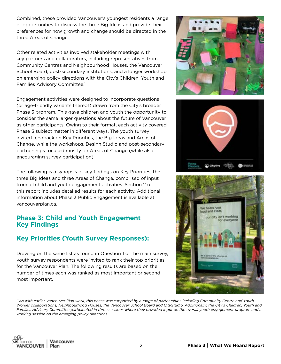Combined, these provided Vancouver's youngest residents a range of opportunities to discuss the three Big Ideas and provide their preferences for how growth and change should be directed in the three Areas of Change.

Other related activities involved stakeholder meetings with key partners and collaborators, including representatives from Community Centres and Neighbourhood Houses, the Vancouver School Board, post-secondary institutions, and a longer workshop on emerging policy directions with the City's Children, Youth and Families Advisory Committee.1

Engagement activities were designed to incorporate questions (or age-friendly variants thereof) drawn from the City's broader Phase 3 program. This gave children and youth the opportunity to consider the same larger questions about the future of Vancouver as other participants. Owing to their format, each activity covered Phase 3 subject matter in different ways. The youth survey invited feedback on Key Priorities, the Big Ideas and Areas of Change, while the workshops, Design Studio and post-secondary partnerships focused mostly on Areas of Change (while also encouraging survey participation).

The following is a synopsis of key findings on Key Priorities, the three Big Ideas and three Areas of Change, comprised of input from all child and youth engagement activities. Section 2 of this report includes detailed results for each activity. Additional information about Phase 3 Public Engagement is available at vancouverplan.ca.

#### **Phase 3: Child and Youth Engagement Key Findings**

## **Key Priorities (Youth Survey Responses):**

Drawing on the same list as found in Question 1 of the main survey, youth survey respondents were invited to rank their top priorities for the Vancouver Plan. The following results are based on the number of times each was ranked as most important or second most important.

 *1 As with earlier Vancouver Plan work, this phase was supported by a range of partnerships including Community Centre and Youth Worker collaborations, Neighbourhood Houses, the Vancouver School Board and CityStudio. Additionally, the City's Children, Youth and Families Advisory Committee participated in three sessions where they provided input on the overall youth engagement program and a working session on the emerging policy directions.* 







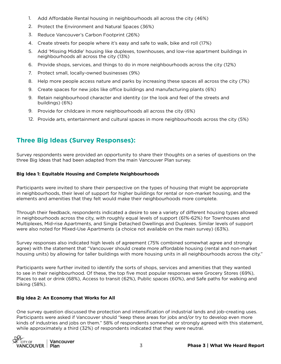- Add Affordable Rental housing in neighbourhoods all across the city (46%) 1.
- 2. Protect the Environment and Natural Spaces (36%)
- 3. Reduce Vancouver's Carbon Footprint (26%)
- Create streets for people where it's easy and safe to walk, bike and roll (17%) 4.
- 5. Add 'Missing Middle' housing like duplexes, townhouses, and low-rise apartment buildings in neighbourhoods all across the city (13%)
- 6. Provide shops, services, and things to do in more neighbourhoods across the city (12%)
- 7. Protect small, locally-owned businesses (9%)
- Help more people access nature and parks by increasing these spaces all across the city (7%) 8.
- 9. Create spaces for new jobs like office buildings and manufacturing plants (6%)
- 9. Retain neighbourhood character and identity (or the look and feel of the streets and buildings) (6%)
- 9. Provide for childcare in more neighbourhoods all across the city (6%)
- 12. Provide arts, entertainment and cultural spaces in more neighbourhoods across the city (5%)

#### **Three Big Ideas (Survey Responses):**

Survey respondents were provided an opportunity to share their thoughts on a series of questions on the three Big Ideas that had been adapted from the main Vancouver Plan survey.

#### **Big Idea 1: Equitable Housing and Complete Neighbourhoods**

Participants were invited to share their perspective on the types of housing that might be appropriate in neighbourhoods, their level of support for higher buildings for rental or non-market housing, and the elements and amenities that they felt would make their neighbourhoods more complete.

Through their feedback, respondents indicated a desire to see a variety of different housing types allowed in neighbourhoods across the city, with roughly equal levels of support (61%-62%) for Townhouses and Multiplexes, Mid-rise Apartments, and Single Detached Dwellings and Duplexes. Similar levels of support were also noted for Mixed-Use Apartments (a choice not available on the main survey) (63%).

Survey responses also indicated high levels of agreement (75% combined somewhat agree and strongly agree) with the statement that "Vancouver should create more affordable housing (rental and non-market housing units) by allowing for taller buildings with more housing units in all neighbourhoods across the city."

Participants were further invited to identify the sorts of shops, services and amenities that they wanted to see in their neighbourhood. Of these, the top five most popular responses were Grocery Stores (69%), Places to eat or drink (68%), Access to transit (62%), Public spaces (60%), and Safe paths for walking and biking (58%).

#### **Big Idea 2: An Economy that Works for All**

One survey question discussed the protection and intensification of industrial lands and job-creating uses. Participants were asked if Vancouver should "keep these areas for jobs and/or try to develop even more kinds of industries and jobs on them." 58% of respondents somewhat or strongly agreed with this statement, while approximately a third (32%) of respondents indicated that they were neutral.

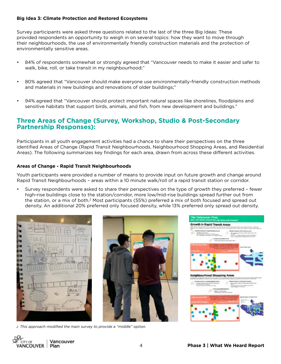#### **Big Idea 3: Climate Protection and Restored Ecosystems**

Survey participants were asked three questions related to the last of the three Big Ideas: These provided respondents an opportunity to weigh in on several topics: how they want to move through their neighbourhoods, the use of environmentally friendly construction materials and the protection of environmentally sensitive areas.

- 84% of respondents somewhat or strongly agreed that "Vancouver needs to make it easier and safer to walk, bike, roll, or take transit in my neighbourhood;"
- 80% agreed that "Vancouver should make everyone use environmentally-friendly construction methods and materials in new buildings and renovations of older buildings;"
- 94% agreed that "Vancouver should protect important natural spaces like shorelines, floodplains and sensitive habitats that support birds, animals, and fish, from new development and buildings."

#### **Three Areas of Change (Survey, Workshop, Studio & Post-Secondary Partnership Responses):**

Participants in all youth engagement activities had a chance to share their perspectives on the three identified Areas of Change (Rapid Transit Neighbourhoods, Neighbourhood Shopping Areas, and Residential Areas). The following summarizes key findings for each area, drawn from across these different activities.

#### **Areas of Change - Rapid Transit Neighbourhoods**

Youth participants were provided a number of means to provide input on future growth and change around Rapid Transit Neighbourhoods – areas within a 10 minute walk/roll of a rapid transit station or corridor.

• Survey respondents were asked to share their perspectives on the type of growth they preferred – fewer high-rise buildings close to the station/corridor, more low/mid-rise buildings spread further out from the station, or a mix of both.2 Most participants (55%) preferred a mix of both focused and spread out density. An additional 20% preferred only focused density, while 13% preferred only spread out density.





*2 This approach modified the main survey to provide a "middle" option.*



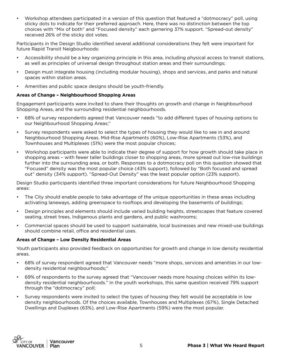• Workshop attendees participated in a version of this question that featured a "dotmocracy" poll, using sticky dots to indicate for their preferred approach. Here, there was no distinction between the top choices with "Mix of both" and "Focused density" each garnering 37% support. "Spread-out density" received 26% of the sticky dot votes.

Participants in the Design Studio identified several additional considerations they felt were important for future Rapid Transit Neigbourhoods:

- Accessibility should be a key organizing principle in this area, including physical access to transit stations, as well as principles of universal design throughout station areas and their surroundings;
- Design must integrate housing (including modular housing), shops and services, and parks and natural spaces within station areas.
- Amenities and public space designs should be youth-friendly.

#### **Areas of Change – Neighbourhood Shopping Areas**

Engagement participants were invited to share their thoughts on growth and change in Neighbourhood Shopping Areas, and the surrounding residential neighbourhoods.

- 68% of survey respondents agreed that Vancouver needs "to add different types of housing options to our Neighbourhood Shopping Areas;"
- Survey respondents were asked to select the types of housing they would like to see in and around Neighbourhood Shopping Areas. Mid-Rise Apartments (60%), Low-Rise Apartments (53%), and Townhouses and Multiplexes (51%) were the most popular choices;
- Workshop participants were able to indicate their degree of support for how growth should take place in shopping areas – with fewer taller buildings closer to shopping areas, more spread out low-rise buildings further into the surrounding area, or both. Responses to a dotmocracy poll on this question showed that "Focused" density was the most popular choice (43% support), followed by "Both focused and spread out" density (34% support). "Spread-Out Density" was the least popular option (23% support).

Design Studio participants identified three important considerations for future Neighbourhood Shopping areas:

- The City should enable people to take advantage of the unique opportunities in these areas including activating laneways, adding greenspace to rooftops and developing the basements of buildings;
- Design principles and elements should include varied building heights, streetscapes that feature covered seating, street trees, Indigenous plants and gardens, and public washrooms;
- Commercial spaces should be used to support sustainable, local businesses and new mixed-use buildings should combine retail, office and residential uses.

#### **Areas of Change – Low Density Residential Areas**

Youth participants also provided feedback on opportunities for growth and change in low density residential areas.

- 68% of survey respondent agreed that Vancouver needs "more shops, services and amenities in our lowdensity residential neighbourhoods;"
- 69% of respondents to the survey agreed that "Vancouver needs more housing choices within its lowdensity residential neighbourhoods." In the youth workshops, this same question received 79% support through the "dotmocracy" poll;
- Survey respondents were invited to select the types of housing they felt would be acceptable in low density neighbourhoods. Of the choices available, Townhouses and Multiplexes (67%), Single Detached Dwellings and Duplexes (63%), and Low-Rise Apartments (59%) were the most popular.

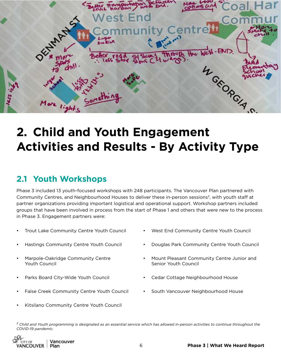

# **2. Child and Youth Engagement Activities and Results - By Activity Type**

# **2.1 Youth Workshops**

Phase 3 included 13 youth-focused workshops with 248 participants. The Vancouver Plan partnered with Community Centres, and Neighbourhood Houses to deliver these in-person sessions<sup>3</sup>, with youth staff at partner organizations providing important logistical and operational support. Workshop partners included groups that have been involved in process from the start of Phase 1 and others that were new to the process in Phase 3. Engagement partners were:

- Trout Lake Community Centre Youth Council
- Hastings Community Centre Youth Council
- Marpole-Oakridge Community Centre Youth Council
- Parks Board City-Wide Youth Council
- False Creek Community Centre Youth Council
- 
- Douglas Park Community Centre Youth Council

• West End Community Centre Youth Council

- Mount Pleasant Community Centre Junior and Senior Youth Council
- Cedar Cottage Neighbourhood House
- South Vancouver Neighbourhood House
- Kitsilano Community Centre Youth Council

*3 Child and Youth programming is designated as an essential service which has allowed in-person activities to continue throughout the COVID-19 pandemic.* 

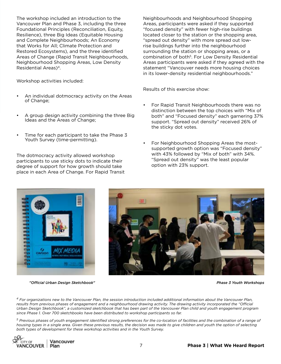The workshop included an introduction to the Vancouver Plan and Phase 3, including the three Foundational Principles (Reconciliation, Equity, Resilience), three Big Ideas (Equitable Housing and Complete Neighbourhoods; An Economy that Works for All; Climate Protection and Restored Ecosystems), and the three identified Areas of Change (Rapid Transit Neighbourhoods, Neighbourhood Shopping Areas, Low Density Residential Areas)4.

Workshop activities included:

- An individual dotmocracy activity on the Areas of Change;
- A group design activity combining the three Big Ideas and the Areas of Change;
- Time for each participant to take the Phase 3 Youth Survey (time-permitting).

The dotmocracy activity allowed workshop participants to use sticky dots to indicate their degree of support for how growth should take place in each Area of Change. For Rapid Transit Neighbourhoods and Neighbourhood Shopping Areas, participants were asked if they supported "focused density" with fewer high-rise buildings located closer to the station or the shopping area, "spread out density" with more spread out lowrise buildings further into the neighbourhood surrounding the station or shopping areas, or a combination of both5. For Low Density Residential Areas participants were asked if they agreed with the statement "Vancouver needs more housing choices in its lower-density residential neighbourhoods."

Results of this exercise show:

- For Rapid Transit Neighbourhoods there was no distinction between the top choices with "Mix of both" and "Focused density" each garnering 37% support. "Spread out density" received 26% of the sticky dot votes.
- For Neighbourhood Shopping Areas the mostsupported growth option was "Focused density" with 43% followed by "Mix of both" with 34%. "Spread out density" was the least popular option with 23% support.



*"Official Urban Design Sketchbook"*



*Phase 3 Youth Workshops*

*4 For organizations new to the Vancouver Plan, the session introduction included additional information about the Vancouver Plan, results from previous phases of engagement and a neighbourhood drawing activity. The drawing activity incorporated the "Official Urban Design Sketchbook", a customized sketchbook that has been part of the Vancouver Plan child and youth engagement program since Phase 1. Over 700 sketchbooks have been distributed to workshop participants so far.*

*5 Previous phases of youth engagement identified strong preferences for the co-location of facilities and the combination of a range of housing types in a single area. Given these previous results, the decision was made to give children and youth the option of selecting both types of development for these workshop activities and in the Youth Survey.*

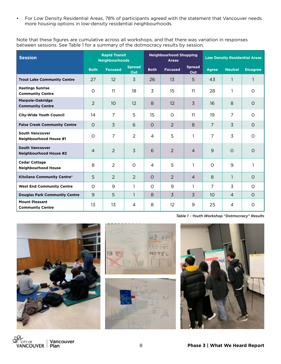• For Low Density Residential Areas, 78% of participants agreed with the statement that Vancouver needs more housing options in low-density residential neighbourhoods.

Note that these figures are cumulative across all workshops, and that there was variation in responses between sessions. See Table 1 for a summary of the dotmocracy results by session.

| <b>Session</b>                                          | <b>Rapid Transit</b><br><b>Neighbourhoods</b> |                |                      | <b>Neighbourhood Shopping</b><br><b>Areas</b> |                |                             | <b>Low Density Residential Areas</b> |                |                 |
|---------------------------------------------------------|-----------------------------------------------|----------------|----------------------|-----------------------------------------------|----------------|-----------------------------|--------------------------------------|----------------|-----------------|
|                                                         | <b>Both</b>                                   | <b>Focused</b> | <b>Spread</b><br>Out | <b>Both</b>                                   | <b>Focused</b> | <b>Spread</b><br><b>Out</b> | <b>Agree</b>                         | <b>Neutral</b> | <b>Disagree</b> |
| <b>Trout Lake Community Centre</b>                      | 27                                            | 12             | $\overline{3}$       | 26                                            | 13             | 5                           | 43                                   |                | 1               |
| <b>Hastings Sunrise</b><br><b>Community Centre</b>      | $\circ$                                       | 11             | 18                   | 3                                             | 15             | 11                          | 28                                   | 1              | $\circ$         |
| <b>Marpole-Oakridge</b><br><b>Community Centre</b>      | $\overline{2}$                                | 10             | 12                   | 8                                             | 12             | 3                           | 16                                   | 8              | $\circ$         |
| <b>City-Wide Youth Council</b>                          | 14                                            | $\overline{7}$ | 5                    | 15                                            | $\circ$        | 11                          | 19                                   | $\overline{7}$ | $\Omega$        |
| <b>False Creek Community Centre</b>                     | $\Omega$                                      | $\overline{3}$ | 6                    | $\Omega$                                      | $\overline{2}$ | 8                           | 7                                    | $\overline{3}$ | $\Omega$        |
| <b>South Vancouver</b><br><b>Neighbourhood House #1</b> | $\circ$                                       | 7              | $\overline{2}$       | 4                                             | 5              | 1                           | 7                                    | 3              | $\Omega$        |
| <b>South Vancouver</b><br><b>Neighbourhood House #2</b> | $\overline{4}$                                | $\overline{2}$ | 3                    | 6                                             | 2              | $\overline{4}$              | 9                                    | $\circ$        | $\circ$         |
| <b>Cedar Cottage</b><br><b>Neighbourhood House</b>      | 8                                             | $\overline{2}$ | $\circ$              | 4                                             | 5              | 1                           | $\circ$                              | 9              | 1               |
| Kitsilano Community Centre*                             | 5                                             | $\overline{2}$ | $\overline{2}$       | $\Omega$                                      | $\overline{2}$ | $\overline{4}$              | 8                                    | $\mathbf{1}$   | $\circ$         |
| <b>West End Community Centre</b>                        | O                                             | 9              | 1                    | $\circ$                                       | 9              | 1                           | $\overline{7}$                       | 3              | $\Omega$        |
| <b>Douglas Park Community Centre</b>                    | 9                                             | 5              | $\mathbf{1}$         | 8                                             | $\overline{3}$ | 3                           | 10 <sup>°</sup>                      | $\overline{4}$ | $\Omega$        |
| <b>Mount Pleasant</b><br><b>Community Centre</b>        | 13                                            | 13             | 4                    | 8                                             | 12             | 9                           | 25                                   | 4              | $\circ$         |

*Table 1 - Youth Workshop "Dotmocracy" Results*





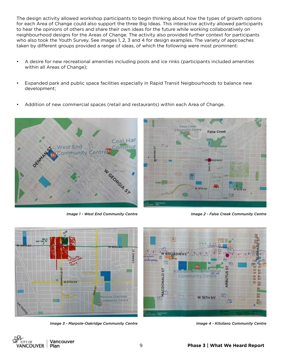The design activity allowed workshop participants to begin thinking about how the types of growth options for each Area of Change could also support the three Big Ideas. This interactive activity allowed participants to hear the opinions of others and share their own ideas for the future while working collaboratively on neighbourhood designs for the Areas of Change. The activity also provided further context for participants who also took the Youth Survey. See images 1, 2, 3 and 4 for design examples. The variety of approaches taken by different groups provided a range of ideas, of which the following were most prominent:

- A desire for new recreational amenities including pools and ice rinks (participants included amenities within all Areas of Change);
- Expanded park and public space facilities especially in Rapid Transit Neigbourhoods to balance new development;
- Addition of new commercial spaces (retail and restaurants) within each Area of Change.





*Image 1 - West End Community Centre* **Image 2 - False Creek Community Centre** 



*Image 3 - Marpole-Oakridge Community Centre Image 4 - Kitsilano Community Centre*

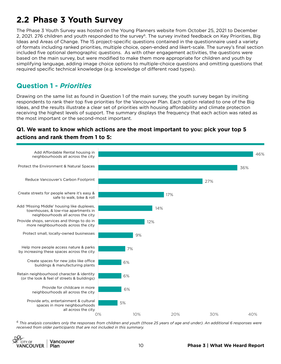# **2.2 Phase 3 Youth Survey**

The Phase 3 Youth Survey was hosted on the Young Planners website from October 25, 2021 to December 2, 2021. 276 children and youth responded to the survey<sup>6</sup>. The survey invited feedback on Key Priorities, Big Ideas and Areas of Change. The 15 project-specific questions contained in the questionnaire used a variety of formats including ranked priorities, multiple choice, open-ended and likert-scale. The survey's final section included five optional demographic questions. As with other engagement activities, the questions were based on the main survey, but were modified to make them more appropriate for children and youth by simplifying language, adding image choice options to multiple-choice questions and omitting questions that required specific technical knowledge (e.g. knowledge of different road types).

## **Question 1 -** *Priorities*

Drawing on the same list as found in Question 1 of the main survey, the youth survey began by inviting respondents to rank their top five priorities for the Vancouver Plan. Each option related to one of the Big Ideas, and the results illustrate a clear set of priorities with housing affordability and climate protection receiving the highest levels of support. The summary displays the frequency that each action was rated as the most important or the second-most important.

#### **Q1. We want to know which actions are the most important to you: pick your top 5 actions and rank them from 1 to 5:**



*6 This analysis considers only the responses from children and youth (those 25 years of age and under). An additional 6 responses were received from older participants that are not included in this summary.*

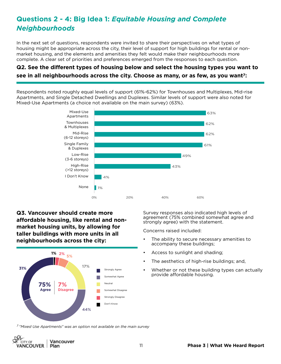# **Questions 2 - 4: Big Idea 1:** *Equitable Housing and Complete Neighbourhoods*

In the next set of questions, respondents were invited to share their perspectives on what types of housing might be appropriate across the city, their level of support for high buildings for rental or nonmarket housing, and the elements and amenities they felt would make their neighbourhoods more complete. A clear set of priorities and preferences emerged from the responses to each question.

### **Q2. See the different types of housing below and select the housing types you want to see in all neighbourhoods across the city. Choose as many, or as few, as you want7:**

Respondents noted roughly equal levels of support (61%-62%) for Townhouses and Multiplexes, Mid-rise Apartments, and Single Detached Dwellings and Duplexes. Similar levels of support were also noted for Mixed-Use Apartments (a choice not available on the main survey) (63%).



**Q3. Vancouver should create more affordable housing, like rental and nonmarket housing units, by allowing for taller buildings with more units in all neighbourhoods across the city:** 



Survey responses also indicated high levels of agreement (75% combined somewhat agree and strongly agree) with the statement.

Concerns raised included:

- The ability to secure necessary amenities to accompany these buildings;
- Access to sunlight and shading;
- The aesthetics of high-rise buildings; and,
- Whether or not these building types can actually provide affordable housing.

*7 "Mixed Use Apartments" was an option not available on the main survey*

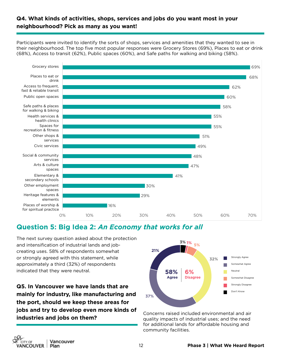#### **Q4. What kinds of activities, shops, services and jobs do you want most in your neighbourhood? Pick as many as you want!**

Participants were invited to identify the sorts of shops, services and amenities that they wanted to see in their neighbourhood. The top five most popular responses were Grocery Stores (69%), Places to eat or drink (68%), Access to transit (62%), Public spaces (60%), and Safe paths for walking and biking (58%).



#### **Question 5: Big Idea 2:** *An Economy that works for all*

The next survey question asked about the protection and intensification of industrial lands and jobcreating uses. 58% of respondents somewhat or strongly agreed with this statement, while approximately a third (32%) of respondents indicated that they were neutral.

**Q5. In Vancouver we have lands that are mainly for industry, like manufacturing and the port, should we keep these areas for jobs and try to develop even more kinds of industries and jobs on them?** 



Concerns raised included environmental and air quality impacts of industrial uses; and the need for additional lands for affordable housing and community facilities.

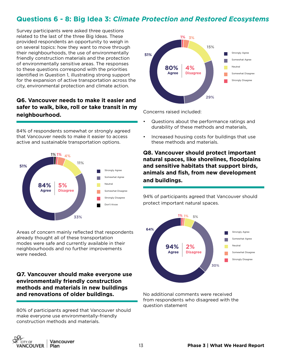## **Questions 6 - 8: Big Idea 3:** *Climate Protection and Restored Ecosystems*

Survey participants were asked three questions related to the last of the three Big Ideas. These provided respondents an opportunity to weigh in on several topics: how they want to move through their neighbourhoods, the use of environmentally friendly construction materials and the protection of environmentally sensitive areas. The responses to these questions correspond with the priorities identified in Question 1, illustrating strong support for the expansion of active transportation across the city, environmental protection and climate action.

#### **Q6. Vancouver needs to make it easier and safer to walk, bike, roll or take transit in my neighbourhood.**

84% of respondents somewhat or strongly agreed that Vancouver needs to make it easier to access active and sustainable transportation options.



Areas of concern mainly reflected that respondents already thought all of these transportation modes were safe and currently available in their neighbourhoods and no further improvements were needed.

#### **Q7. Vancouver should make everyone use environmentally friendly construction methods and materials in new buildings and renovations of older buildings.**

80% of participants agreed that Vancouver should make everyone use environmentally-friendly construction methods and materials.



Concerns raised included:

- Questions about the performance ratings and durability of these methods and materials,
- Increased housing costs for buildings that use these methods and materials.

**Q8. Vancouver should protect important natural spaces, like shorelines, floodplains and sensitive habitats that support birds, animals and fish, from new development and buildings.** 

94% of participants agreed that Vancouver should protect important natural spaces.



No additional comments were received from respondents who disagreed with the question statement

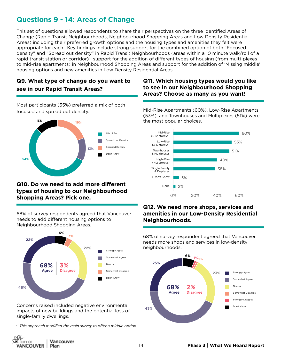# **Questions 9 - 14: Areas of Change**

This set of questions allowed respondents to share their perspectives on the three identified Areas of Change (Rapid Transit Neighbourhoods, Neighbourhood Shopping Areas and Low Density Residential Areas) including their preferred growth options and the housing types and amenities they felt were appropriate for each. Key findings include strong support for the combined option of both "Focused density" and "Spread out density" in Rapid Transit Neighbourhoods (areas within a 10 minute walk/roll of a rapid transit station or corridor)<sup>8</sup>, support for the addition of different types of housing (from multi-plexes to mid-rise apartments) in Neighbourhood Shopping Areas and support for the addition of 'Missing middle' housing options and new amenities in Low Density Residential Areas.

#### **Q9. What type of change do you want to see in our Rapid Transit Areas?**

Most participants (55%) preferred a mix of both focused and spread out density.



#### **Q10. Do we need to add more different types of housing to our Neighbourhood Shopping Areas? Pick one.**

68% of survey respondents agreed that Vancouver needs to add different housing options to Neighbourhood Shopping Areas.



Concerns raised included negative environmental impacts of new buildings and the potential loss of single-family dwellings.

*8 This approach modified the main survey to offer a middle option.*

#### **Q11. Which housing types would you like to see in our Neighbourhood Shopping Areas? Choose as many as you want!**

Mid-Rise Apartments (60%), Low-Rise Apartments (53%), and Townhouses and Multiplexes (51%) were the most popular choices.



#### **Q12. We need more shops, services and amenities in our Low-Density Residential Neighbourhoods.**

68% of survey respondent agreed that Vancouver needs more shops and services in low-density neighbourhoods.



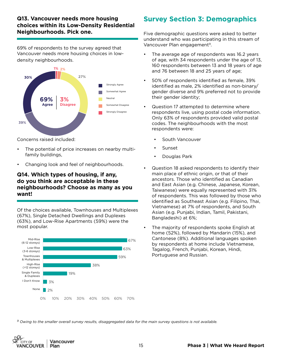#### **Q13. Vancouver needs more housing choices within its Low-Density Residential Neighbourhoods. Pick one.**

69% of respondents to the survey agreed that Vancouver needs more housing choices in lowdensity neighbourhoods.



Concerns raised included:

- The potential of price increases on nearby multifamily buildings,
- Changing look and feel of neighbourhoods.

#### **Q14. Which types of housing, if any, do you think are acceptable in these neighbourhoods? Choose as many as you want!**

Of the choices available, Townhouses and Multiplexes (67%), Single Detached Dwellings and Duplexes (63%), and Low-Rise Apartments (59%) were the most popular.



# **Survey Section 3: Demographics**

Five demographic questions were asked to better understand who was participating in this stream of Vancouver Plan engagement<sup>9</sup>.

- The average age of respondents was 16.2 years of age, with 34 respondents under the age of 13, 160 respondents between 13 and 18 years of age and 76 between 18 and 25 years of age;
- 50% of respondents identified as female, 39% identified as male, 2% identified as non-binary/ gender diverse and 9% preferred not to provide their gender identity;
- Question 17 attempted to determine where respondents live, using postal code information. Only 63% of respondents provided valid postal codes. The neighbourhoods with the most respondents were:
	- South Vancouver
	- **Sunset**
	- Douglas Park
- Question 18 asked respondents to identify their main place of ethnic origin, or that of their ancestors. Those who identified as Canadian and East Asian (e.g. Chinese, Japanese, Korean, Taiwanese) were equally represented with 31% of respondents. This was followed by those who identified as Southeast Asian (e.g. Filipino, Thai, Vietnamese) at 7% of respondents, and South Asian (e.g. Punjabi, Indian, Tamil, Pakistani, Bangladeshi) at 6%;
- The majority of respondents spoke English at home (52%), followed by Mandarin (15%), and Cantonese (8%). Additional languages spoken by respondents at home include Vietnamese, Tagalog, French, Punjabi, Korean, Hindi, Portuguese and Russian.

*9 Owing to the smaller overall survey results, disaggregated data for the main survey questions is not available.* 

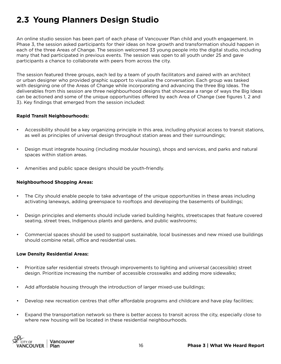# **2.3 Young Planners Design Studio**

An online studio session has been part of each phase of Vancouver Plan child and youth engagement. In Phase 3, the session asked participants for their ideas on how growth and transformation should happen in each of the three Areas of Change. The session welcomed 33 young people into the digital studio, including many that had participated in previous events. The session was open to all youth under 25 and gave participants a chance to collaborate with peers from across the city.

The session featured three groups, each led by a team of youth facilitators and paired with an architect or urban designer who provided graphic support to visualize the conversation. Each group was tasked with designing one of the Areas of Change while incorporating and advancing the three Big Ideas. The deliverables from this session are three neighbourhood designs that showcase a range of ways the Big Ideas can be actioned and some of the unique opportunities offered by each Area of Change (see figures 1, 2 and 3). Key findings that emerged from the session included:

#### **Rapid Transit Neighbourhoods:**

- Accessibility should be a key organizing principle in this area, including physical access to transit stations, as well as principles of universal design throughout station areas and their surroundings;
- Design must integrate housing (including modular housing), shops and services, and parks and natural spaces within station areas.
- Amenities and public space designs should be youth-friendly.

#### **Neighbourhood Shopping Areas:**

- The City should enable people to take advantage of the unique opportunities in these areas including activating laneways, adding greenspace to rooftops and developing the basements of buildings;
- Design principles and elements should include varied building heights, streetscapes that feature covered seating, street trees, Indigenous plants and gardens, and public washrooms;
- Commercial spaces should be used to support sustainable, local businesses and new mixed use buildings should combine retail, office and residential uses.

#### **Low Density Residential Areas:**

- Prioritize safer residential streets through improvements to lighting and universal (accessible) street design. Prioritize increasing the number of accessible crosswalks and adding more sidewalks;
- Add affordable housing through the introduction of larger mixed-use buildings;
- Develop new recreation centres that offer affordable programs and childcare and have play facilities;
- Expand the transportation network so there is better access to transit across the city, especially close to where new housing will be located in these residential neighbourhoods.

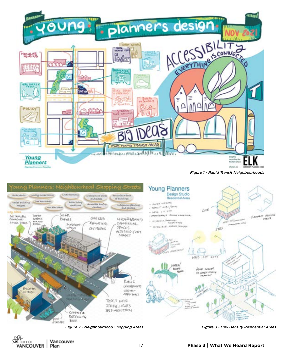

*Figure 1 - Rapid Transit Neighbourhoods*



*Figure 2 - Neighbourhood Shopping Areas Figure 3 - Low Density Residential Areas*

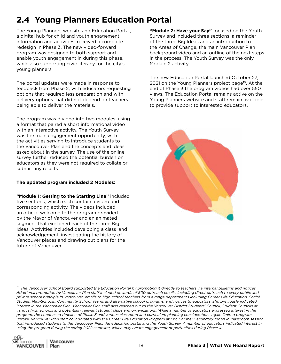# **2.4 Young Planners Education Portal**

The Young Planners website and Education Portal, a digital hub for child and youth engagement information and activities, received a complete redesign in Phase 3. The new video-forward program was designed to both support and enable youth engagement in during this phase, while also supporting civic literacy for the city's young planners.

The portal updates were made in response to feedback from Phase 2, with educators requesting options that required less preparation and with delivery options that did not depend on teachers being able to deliver the materials.

The program was divided into two modules, using a format that paired a short informational video with an interactive activity. The Youth Survey was the main engagement opportunity, with the activities serving to introduce students to the Vancouver Plan and the concepts and ideas asked about in the survey. The use of the online survey further reduced the potential burden on educators as they were not required to collate or submit any results.

#### **The updated program included 2 Modules:**

**"Module 1: Getting to the Starting Line"** included five sections, which each contain a video and corresponding activity. The videos included an official welcome to the program provided by the Mayor of Vancouver and an animated segment that explained each of the three Big Ideas. Activities included developing a class land acknowledgement, investigating the history of Vancouver places and drawing out plans for the future of Vancouver.

**"Module 2: Have your Say"** focused on the Youth Survey and included three sections: a reminder of the three Big Ideas and an introduction to the Areas of Change, the main Vancouver Plan background video and an outline of the next steps in the process. The Youth Survey was the only Module 2 activity.

The new Education Portal launched October 27, 2021 on the Young Planners project page<sup>10</sup>. At the end of Phase 3 the program videos had over 550 views. The Education Portal remains active on the Young Planners website and staff remain available to provide support to interested educators.



*10 The Vancouver School Board supported the Education Portal by promoting it directly to teachers via internal bulletins and notices. Additional promotion by Vancouver Plan staff included upwards of 500 outreach emails, including direct outreach to every public and private school principle in Vancouver, emails to high-school teachers from a range departments including Career Life Education, Social Studies, Mini-Schools, Community School Teams and alternative school programs, and notices to educators who previously indicated interest in the Vancouver Plan. Vancouver Plan staff also reached out to the Vancouver District Students' Council, Student Councils at various high schools and potentially relevant student clubs and organizations. While a number of educators expressed interest in the program, the condensed timeline of Phase 3 and various classroom and curriculum planning considerations again limited program uptake. Vancouver Plan staff collaborated with the Career Life Education Program at Eric Hamber Secondary for an in-classroom session that introduced students to the Vancouver Plan, the education portal and the Youth Survey. A number of educators indicated interest in using the program during the spring 2022 semester, which may create engagement opportunities during Phase 4.*